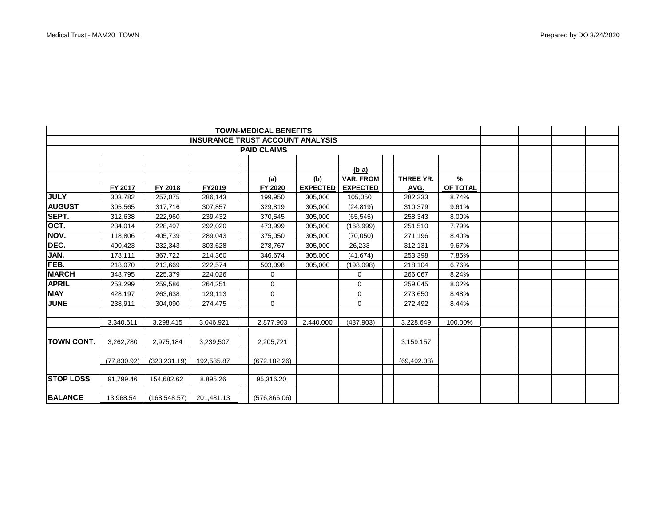| <b>TOWN-MEDICAL BENEFITS</b>            |              |               |            |               |                 |                  |              |          |  |  |  |
|-----------------------------------------|--------------|---------------|------------|---------------|-----------------|------------------|--------------|----------|--|--|--|
| <b>INSURANCE TRUST ACCOUNT ANALYSIS</b> |              |               |            |               |                 |                  |              |          |  |  |  |
| <b>PAID CLAIMS</b>                      |              |               |            |               |                 |                  |              |          |  |  |  |
|                                         |              |               |            |               |                 |                  |              |          |  |  |  |
|                                         |              |               |            |               |                 | $(b-a)$          |              |          |  |  |  |
|                                         |              |               |            | (a)           | <u>(b)</u>      | <b>VAR. FROM</b> | THREE YR.    | %        |  |  |  |
|                                         | FY 2017      | FY 2018       | FY2019     | FY 2020       | <b>EXPECTED</b> | <b>EXPECTED</b>  | AVG.         | OF TOTAL |  |  |  |
| <b>JULY</b>                             | 303,782      | 257,075       | 286,143    | 199,950       | 305,000         | 105,050          | 282,333      | 8.74%    |  |  |  |
| <b>AUGUST</b>                           | 305,565      | 317,716       | 307,857    | 329,819       | 305,000         | (24, 819)        | 310,379      | 9.61%    |  |  |  |
| SEPT.                                   | 312,638      | 222,960       | 239,432    | 370,545       | 305,000         | (65, 545)        | 258,343      | 8.00%    |  |  |  |
| OCT.                                    | 234,014      | 228,497       | 292,020    | 473,999       | 305,000         | (168, 999)       | 251,510      | 7.79%    |  |  |  |
| NOV.                                    | 118,806      | 405,739       | 289,043    | 375,050       | 305,000         | (70,050)         | 271,196      | 8.40%    |  |  |  |
| DEC.                                    | 400,423      | 232,343       | 303,628    | 278,767       | 305,000         | 26,233           | 312,131      | 9.67%    |  |  |  |
| JAN.                                    | 178,111      | 367.722       | 214,360    | 346,674       | 305,000         | (41, 674)        | 253,398      | 7.85%    |  |  |  |
| FEB.                                    | 218,070      | 213,669       | 222,574    | 503,098       | 305,000         | (198,098)        | 218,104      | 6.76%    |  |  |  |
| <b>MARCH</b>                            | 348,795      | 225,379       | 224,026    | 0             |                 | 0                | 266,067      | 8.24%    |  |  |  |
| <b>APRIL</b>                            | 253,299      | 259,586       | 264,251    | 0             |                 | 0                | 259,045      | 8.02%    |  |  |  |
| <b>MAY</b>                              | 428.197      | 263.638       | 129,113    | 0             |                 | 0                | 273,650      | 8.48%    |  |  |  |
| <b>JUNE</b>                             | 238,911      | 304,090       | 274,475    | $\mathbf 0$   |                 | $\mathbf 0$      | 272,492      | 8.44%    |  |  |  |
|                                         |              |               |            |               |                 |                  |              |          |  |  |  |
|                                         | 3,340,611    | 3,298,415     | 3,046,921  | 2,877,903     | 2,440,000       | (437,903)        | 3,228,649    | 100.00%  |  |  |  |
|                                         |              |               |            |               |                 |                  |              |          |  |  |  |
| <b>TOWN CONT.</b>                       | 3,262,780    | 2,975,184     | 3,239,507  | 2,205,721     |                 |                  | 3,159,157    |          |  |  |  |
|                                         |              |               |            |               |                 |                  |              |          |  |  |  |
|                                         | (77, 830.92) | (323, 231.19) | 192,585.87 | (672, 182.26) |                 |                  | (69, 492.08) |          |  |  |  |
|                                         |              |               |            |               |                 |                  |              |          |  |  |  |
| <b>STOP LOSS</b>                        | 91,799.46    | 154,682.62    | 8.895.26   | 95,316.20     |                 |                  |              |          |  |  |  |
|                                         |              |               |            |               |                 |                  |              |          |  |  |  |
| <b>BALANCE</b>                          | 13.968.54    | (168, 548.57) | 201,481.13 | (576, 866.06) |                 |                  |              |          |  |  |  |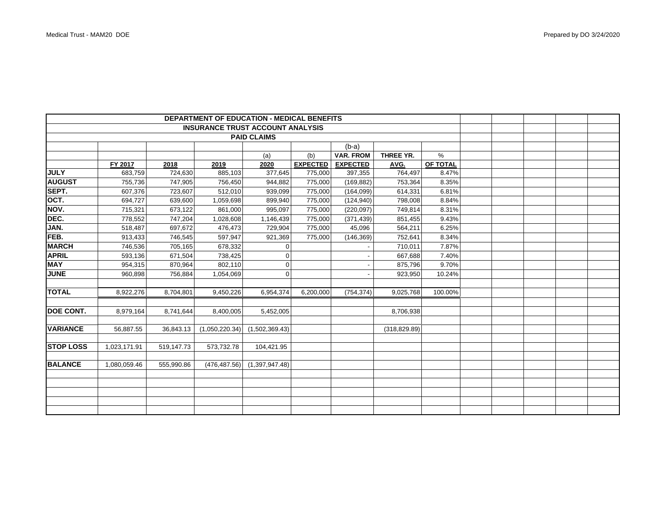| <b>DEPARTMENT OF EDUCATION - MEDICAL BENEFITS</b> |              |            |                |                |                 |                          |               |          |  |  |  |
|---------------------------------------------------|--------------|------------|----------------|----------------|-----------------|--------------------------|---------------|----------|--|--|--|
| <b>INSURANCE TRUST ACCOUNT ANALYSIS</b>           |              |            |                |                |                 |                          |               |          |  |  |  |
| <b>PAID CLAIMS</b>                                |              |            |                |                |                 |                          |               |          |  |  |  |
|                                                   |              |            |                |                |                 | $(b-a)$                  |               |          |  |  |  |
|                                                   |              |            |                | (a)            | (b)             | <b>VAR. FROM</b>         | THREE YR.     | $\%$     |  |  |  |
|                                                   | FY 2017      | 2018       | 2019           | 2020           | <b>EXPECTED</b> | <b>EXPECTED</b>          | AVG.          | OF TOTAL |  |  |  |
| <b>JULY</b>                                       | 683,759      | 724,630    | 885,103        | 377,645        | 775,000         | 397,355                  | 764,497       | 8.47%    |  |  |  |
| <b>AUGUST</b>                                     | 755,736      | 747,905    | 756,450        | 944,882        | 775,000         | (169, 882)               | 753,364       | 8.35%    |  |  |  |
| SEPT.                                             | 607,376      | 723,607    | 512,010        | 939,099        | 775,000         | (164, 099)               | 614,331       | 6.81%    |  |  |  |
| OCT.                                              | 694,727      | 639,600    | 1,059,698      | 899,940        | 775,000         | (124, 940)               | 798,008       | 8.84%    |  |  |  |
| NOV.                                              | 715,321      | 673,122    | 861,000        | 995,097        | 775,000         | (220, 097)               | 749,814       | 8.31%    |  |  |  |
| DEC.                                              | 778,552      | 747,204    | 1,028,608      | 1,146,439      | 775,000         | (371, 439)               | 851,455       | 9.43%    |  |  |  |
| JAN.                                              | 518,487      | 697,672    | 476,473        | 729,904        | 775,000         | 45,096                   | 564,211       | 6.25%    |  |  |  |
| FEB.                                              | 913,433      | 746,545    | 597,947        | 921,369        | 775,000         | (146, 369)               | 752,641       | 8.34%    |  |  |  |
| <b>MARCH</b>                                      | 746,536      | 705,165    | 678,332        | $\overline{0}$ |                 |                          | 710,011       | 7.87%    |  |  |  |
| <b>APRIL</b>                                      | 593,136      | 671,504    | 738,425        |                |                 |                          | 667,688       | 7.40%    |  |  |  |
| <b>MAY</b>                                        | 954,315      | 870,964    | 802,110        | $\overline{0}$ |                 | $\overline{\phantom{a}}$ | 875,796       | 9.70%    |  |  |  |
| <b>JUNE</b>                                       | 960.898      | 756.884    | 1,054,069      | $\overline{0}$ |                 |                          | 923,950       | 10.24%   |  |  |  |
|                                                   |              |            |                |                |                 |                          |               |          |  |  |  |
| <b>TOTAL</b>                                      | 8,922,276    | 8,704,801  | 9,450,226      | 6,954,374      | 6,200,000       | (754, 374)               | 9,025,768     | 100.00%  |  |  |  |
|                                                   |              |            |                |                |                 |                          |               |          |  |  |  |
| DOE CONT.                                         | 8,979,164    | 8,741,644  | 8,400,005      | 5,452,005      |                 |                          | 8,706,938     |          |  |  |  |
|                                                   |              |            |                |                |                 |                          |               |          |  |  |  |
| <b>VARIANCE</b>                                   | 56,887.55    | 36,843.13  | (1,050,220.34) | (1,502,369.43) |                 |                          | (318, 829.89) |          |  |  |  |
|                                                   |              |            |                |                |                 |                          |               |          |  |  |  |
| <b>STOP LOSS</b>                                  | 1,023,171.91 | 519,147.73 | 573,732.78     | 104,421.95     |                 |                          |               |          |  |  |  |
|                                                   |              |            |                |                |                 |                          |               |          |  |  |  |
| <b>BALANCE</b>                                    | 1,080,059.46 | 555,990.86 | (476, 487.56)  | (1,397,947.48) |                 |                          |               |          |  |  |  |
|                                                   |              |            |                |                |                 |                          |               |          |  |  |  |
|                                                   |              |            |                |                |                 |                          |               |          |  |  |  |
|                                                   |              |            |                |                |                 |                          |               |          |  |  |  |
|                                                   |              |            |                |                |                 |                          |               |          |  |  |  |
|                                                   |              |            |                |                |                 |                          |               |          |  |  |  |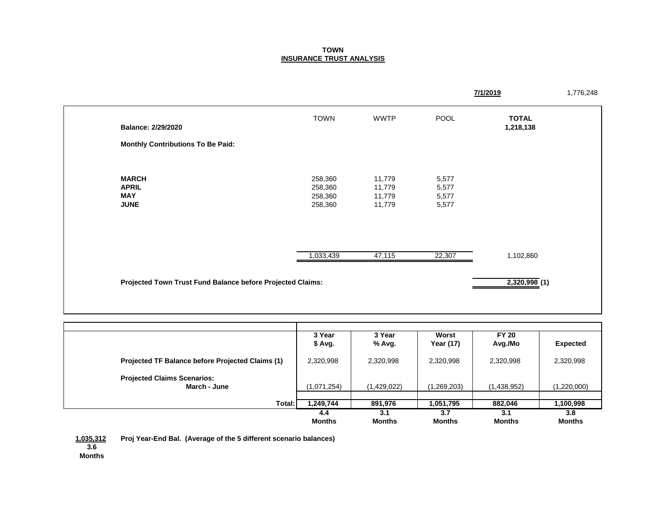## **TOWN INSURANCE TRUST ANALYSIS**

|                                          |                                                            |             |             | 7/1/2019                  |  |  |
|------------------------------------------|------------------------------------------------------------|-------------|-------------|---------------------------|--|--|
| Balance: 2/29/2020                       | <b>TOWN</b>                                                | <b>WWTP</b> | <b>POOL</b> | <b>TOTAL</b><br>1,218,138 |  |  |
| <b>Monthly Contributions To Be Paid:</b> |                                                            |             |             |                           |  |  |
|                                          |                                                            |             |             |                           |  |  |
| <b>MARCH</b>                             | 258,360                                                    | 11,779      | 5,577       |                           |  |  |
| <b>APRIL</b>                             | 258,360                                                    | 11,779      | 5,577       |                           |  |  |
| <b>MAY</b>                               | 258,360                                                    | 11,779      | 5,577       |                           |  |  |
| <b>JUNE</b>                              | 258,360                                                    | 11,779      | 5,577       |                           |  |  |
|                                          |                                                            |             |             |                           |  |  |
|                                          | 1,033,439                                                  | 47,115      | 22,307      | 1,102,860                 |  |  |
|                                          | Projected Town Trust Fund Balance before Projected Claims: |             |             |                           |  |  |
|                                          |                                                            |             |             |                           |  |  |

|                                                         | 3 Year<br>\$ Avg.    | 3 Year<br>% Avg.     | Worst<br>Year (17)   | <b>FY 20</b><br>Avg./Mo | <b>Expected</b>      |
|---------------------------------------------------------|----------------------|----------------------|----------------------|-------------------------|----------------------|
| <b>Projected TF Balance before Projected Claims (1)</b> | 2,320,998            | 2,320,998            | 2,320,998            | 2,320,998               | 2,320,998            |
| <b>Projected Claims Scenarios:</b><br>March - June      | (1,071,254)          | (1,429,022)          | (1,269,203)          | (1,438,952)             | (1,220,000)          |
| Total:                                                  | 1,249,744            | 891,976              | 1,051,795            | 882,046                 | 1,100,998            |
|                                                         | 4.4<br><b>Months</b> | 3.1<br><b>Months</b> | 3.7<br><b>Months</b> | 3.1<br><b>Months</b>    | 3.8<br><b>Months</b> |

**1,035,312 Proj Year-End Bal. (Average of the 5 different scenario balances) 3.6**

**Months**